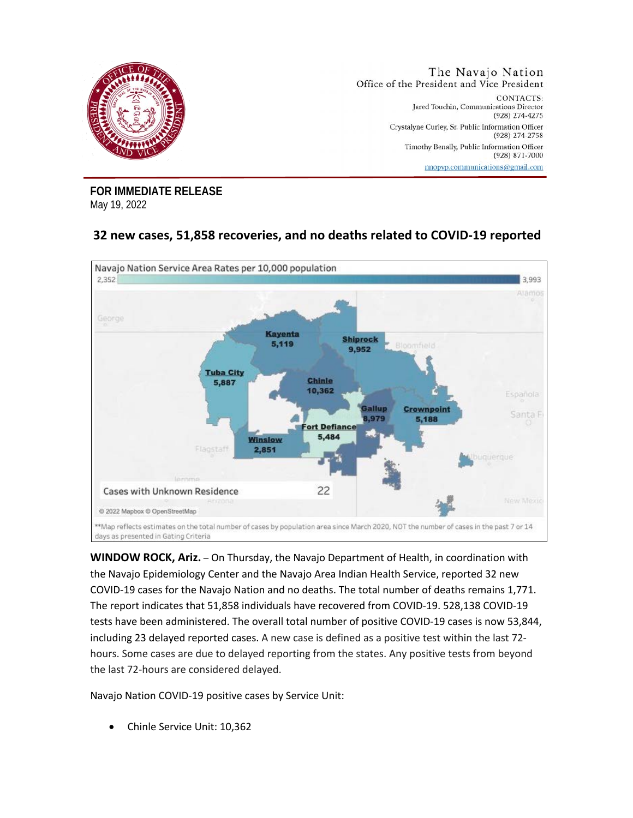

**FOR IMMEDIATE RELEASE** May 19, 2022

## **32 new cases, 51,858 recoveries, and no deaths related to COVID-19 reported**



**WINDOW ROCK, Ariz.** – On Thursday, the Navajo Department of Health, in coordination with the Navajo Epidemiology Center and the Navajo Area Indian Health Service, reported 32 new COVID-19 cases for the Navajo Nation and no deaths. The total number of deaths remains 1,771. The report indicates that 51,858 individuals have recovered from COVID-19. 528,138 COVID-19 tests have been administered. The overall total number of positive COVID-19 cases is now 53,844, including 23 delayed reported cases. A new case is defined as a positive test within the last 72 hours. Some cases are due to delayed reporting from the states. Any positive tests from beyond the last 72-hours are considered delayed.

Navajo Nation COVID-19 positive cases by Service Unit:

• Chinle Service Unit: 10,362